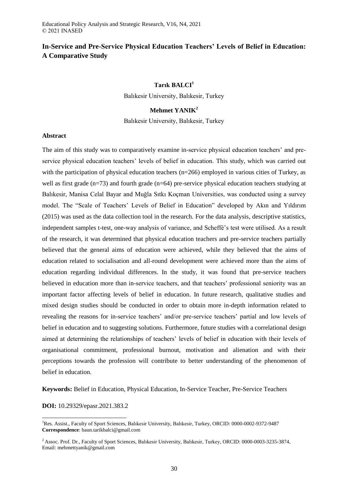# **In-Service and Pre-Service Physical Education Teachers' Levels of Belief in Education: A Comparative Study**

# **Tarık BALCI<sup>1</sup>**

Balıkesir University, Balıkesir, Turkey

# **Mehmet YANIK<sup>2</sup>**

Balıkesir University, Balıkesir, Turkey

### **Abstract**

The aim of this study was to comparatively examine in-service physical education teachers' and preservice physical education teachers' levels of belief in education. This study, which was carried out with the participation of physical education teachers (n=266) employed in various cities of Turkey, as well as first grade (n=73) and fourth grade (n=64) pre-service physical education teachers studying at Balıkesir, Manisa Celal Bayar and Muğla Sıtkı Koçman Universities, was conducted using a survey model. The "Scale of Teachers' Levels of Belief in Education" developed by Akın and Yıldırım (2015) was used as the data collection tool in the research. For the data analysis, descriptive statistics, independent samples t-test, one-way analysis of variance, and Scheffé's test were utilised. As a result of the research, it was determined that physical education teachers and pre-service teachers partially believed that the general aims of education were achieved, while they believed that the aims of education related to socialisation and all-round development were achieved more than the aims of education regarding individual differences. In the study, it was found that pre-service teachers believed in education more than in-service teachers, and that teachers' professional seniority was an important factor affecting levels of belief in education. In future research, qualitative studies and mixed design studies should be conducted in order to obtain more in-depth information related to revealing the reasons for in-service teachers' and/or pre-service teachers' partial and low levels of belief in education and to suggesting solutions. Furthermore, future studies with a correlational design aimed at determining the relationships of teachers' levels of belief in education with their levels of organisational commitment, professional burnout, motivation and alienation and with their perceptions towards the profession will contribute to better understanding of the phenomenon of belief in education.

**Keywords:** Belief in Education, Physical Education, In-Service Teacher, Pre-Service Teachers

# **DOI:** 10.29329/epasr.2021.383.2

 $\overline{a}$ 

<sup>1</sup>Res. Assist., Faculty of Sport Sciences, Balıkesir University, Balıkesir, Turkey, ORCID: 0000-0002-9372-9487 **Correspondence**: baun.tarikbalci@gmail.com

<sup>&</sup>lt;sup>2</sup> Assoc. Prof. Dr., Faculty of Sport Sciences, Balıkesir University, Balıkesir, Turkey, ORCID: 0000-0003-3235-3874, Email: mehmettyanik@gmail.com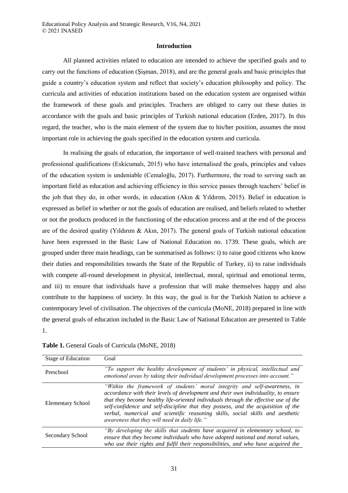#### **Introduction**

All planned activities related to education are intended to achieve the specified goals and to carry out the functions of education (Şişman, 2018), and are the general goals and basic principles that guide a country's education system and reflect that society's education philosophy and policy. The curricula and activities of education institutions based on the education system are organised within the framework of these goals and principles. Teachers are obliged to carry out these duties in accordance with the goals and basic principles of Turkish national education (Erden, 2017). In this regard, the teacher, who is the main element of the system due to his/her position, assumes the most important role in achieving the goals specified in the education system and curricula.

In realising the goals of education, the importance of well-trained teachers with personal and professional qualifications (Eskicumalı, 2015) who have internalised the goals, principles and values of the education system is undeniable (Cemaloğlu, 2017). Furthermore, the road to serving such an important field as education and achieving efficiency in this service passes through teachers' belief in the job that they do, in other words, in education (Akın & Yıldırım, 2015). Belief in education is expressed as belief in whether or not the goals of education are realised, and beliefs related to whether or not the products produced in the functioning of the education process and at the end of the process are of the desired quality (Yıldırım & Akın, 2017). The general goals of Turkish national education have been expressed in the Basic Law of National Education no. 1739. These goals, which are grouped under three main headings, can be summarised as follows: i) to raise good citizens who know their duties and responsibilities towards the State of the Republic of Turkey, ii) to raise individuals with compete all-round development in physical, intellectual, moral, spiritual and emotional terms, and iii) to ensure that individuals have a profession that will make themselves happy and also contribute to the happiness of society. In this way, the goal is for the Turkish Nation to achieve a contemporary level of civilisation. The objectives of the curricula (MoNE, 2018) prepared in line with the general goals of education included in the Basic Law of National Education are presented in Table 1.

| <b>Stage of Education</b> | Goal                                                                                                                                                                                                                                                                                                                                                                                                                                                                           |
|---------------------------|--------------------------------------------------------------------------------------------------------------------------------------------------------------------------------------------------------------------------------------------------------------------------------------------------------------------------------------------------------------------------------------------------------------------------------------------------------------------------------|
| Preschool                 | "To support the healthy development of students' in physical, intellectual and<br>emotional areas by taking their individual development processes into account."                                                                                                                                                                                                                                                                                                              |
| <b>Elementary School</b>  | "Within the framework of students' moral integrity and self-awareness, in<br>accordance with their levels of development and their own individuality, to ensure<br>that they become healthy life-oriented individuals through the effective use of the<br>self-confidence and self-discipline that they possess, and the acquisition of the<br>verbal, numerical and scientific reasoning skills, social skills and aesthetic<br>awareness that they will need in daily life." |
| Secondary School          | "By developing the skills that students have acquired in elementary school, to<br>ensure that they become individuals who have adopted national and moral values,<br>who use their rights and fulfil their responsibilities, and who have acquired the                                                                                                                                                                                                                         |

**Table 1.** General Goals of Curricula (MoNE, 2018)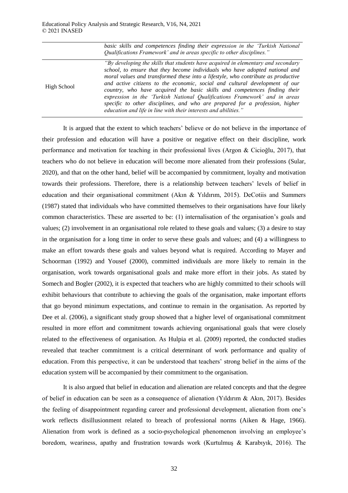|             | basic skills and competences finding their expression in the 'Turkish National'<br>Qualifications Framework' and in areas specific to other disciplines."                                                                                                                                                                                                                                                                                                                                                                                                                                                                                           |
|-------------|-----------------------------------------------------------------------------------------------------------------------------------------------------------------------------------------------------------------------------------------------------------------------------------------------------------------------------------------------------------------------------------------------------------------------------------------------------------------------------------------------------------------------------------------------------------------------------------------------------------------------------------------------------|
| High School | "By developing the skills that students have acquired in elementary and secondary<br>school, to ensure that they become individuals who have adopted national and<br>moral values and transformed these into a lifestyle, who contribute as productive<br>and active citizens to the economic, social and cultural development of our<br>country, who have acquired the basic skills and competences finding their<br>expression in the 'Turkish National Qualifications Framework' and in areas<br>specific to other disciplines, and who are prepared for a profession, higher<br>education and life in line with their interests and abilities." |

It is argued that the extent to which teachers' believe or do not believe in the importance of their profession and education will have a positive or negative effect on their discipline, work performance and motivation for teaching in their professional lives (Argon & Cicioğlu, 2017), that teachers who do not believe in education will become more alienated from their professions (Sular, 2020), and that on the other hand, belief will be accompanied by commitment, loyalty and motivation towards their professions. Therefore, there is a relationship between teachers' levels of belief in education and their organisational commitment (Akın & Yıldırım, 2015). DeCotiis and Summers (1987) stated that individuals who have committed themselves to their organisations have four likely common characteristics. These are asserted to be: (1) internalisation of the organisation's goals and values; (2) involvement in an organisational role related to these goals and values; (3) a desire to stay in the organisation for a long time in order to serve these goals and values; and (4) a willingness to make an effort towards these goals and values beyond what is required. According to Mayer and Schoorman (1992) and Yousef (2000), committed individuals are more likely to remain in the organisation, work towards organisational goals and make more effort in their jobs. As stated by Somech and Bogler (2002), it is expected that teachers who are highly committed to their schools will exhibit behaviours that contribute to achieving the goals of the organisation, make important efforts that go beyond minimum expectations, and continue to remain in the organisation. As reported by Dee et al. (2006), a significant study group showed that a higher level of organisational commitment resulted in more effort and commitment towards achieving organisational goals that were closely related to the effectiveness of organisation. As Hulpia et al. (2009) reported, the conducted studies revealed that teacher commitment is a critical determinant of work performance and quality of education. From this perspective, it can be understood that teachers' strong belief in the aims of the education system will be accompanied by their commitment to the organisation.

It is also argued that belief in education and alienation are related concepts and that the degree of belief in education can be seen as a consequence of alienation (Yıldırım & Akın, 2017). Besides the feeling of disappointment regarding career and professional development, alienation from one's work reflects disillusionment related to breach of professional norms (Aiken & Hage, 1966). Alienation from work is defined as a socio-psychological phenomenon involving an employee's boredom, weariness, apathy and frustration towards work (Kurtulmuş & Karabıyık, 2016). The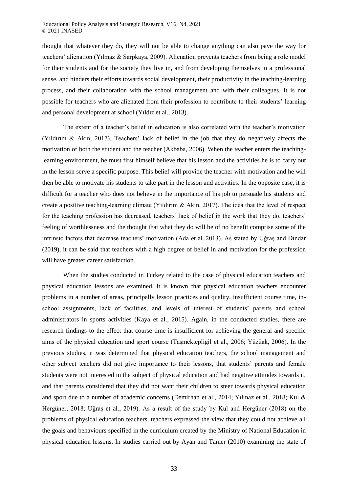#### Educational Policy Analysis and Strategic Research, V16, N4, 2021 © 2021 INASED

thought that whatever they do, they will not be able to change anything can also pave the way for teachers' alienation (Yılmaz & Sarpkaya, 2009). Alienation prevents teachers from being a role model for their students and for the society they live in, and from developing themselves in a professional sense, and hinders their efforts towards social development, their productivity in the teaching-learning process, and their collaboration with the school management and with their colleagues. It is not possible for teachers who are alienated from their profession to contribute to their students' learning and personal development at school (Yıldız et al., 2013).

The extent of a teacher's belief in education is also correlated with the teacher's motivation (Yıldırım & Akın, 2017). Teachers' lack of belief in the job that they do negatively affects the motivation of both the student and the teacher (Akbaba, 2006). When the teacher enters the teachinglearning environment, he must first himself believe that his lesson and the activities he is to carry out in the lesson serve a specific purpose. This belief will provide the teacher with motivation and he will then be able to motivate his students to take part in the lesson and activities. In the opposite case, it is difficult for a teacher who does not believe in the importance of his job to persuade his students and create a positive teaching-learning climate (Yıldırım & Akın, 2017). The idea that the level of respect for the teaching profession has decreased, teachers' lack of belief in the work that they do, teachers' feeling of worthlessness and the thought that what they do will be of no benefit comprise some of the intrinsic factors that decrease teachers' motivation (Ada et al.,2013). As stated by Uğraş and Dindar (2019), it can be said that teachers with a high degree of belief in and motivation for the profession will have greater career satisfaction.

When the studies conducted in Turkey related to the case of physical education teachers and physical education lessons are examined, it is known that physical education teachers encounter problems in a number of areas, principally lesson practices and quality, insufficient course time, inschool assignments, lack of facilities, and levels of interest of students' parents and school administrators in sports activities (Kaya et al., 2015). Again, in the conducted studies, there are research findings to the effect that course time is insufficient for achieving the general and specific aims of the physical education and sport course (Taşmektepligil et al., 2006; Yüzüak, 2006). In the previous studies, it was determined that physical education teachers, the school management and other subject teachers did not give importance to their lessons, that students' parents and female students were not interested in the subject of physical education and had negative attitudes towards it, and that parents considered that they did not want their children to steer towards physical education and sport due to a number of academic concerns (Demirhan et al., 2014; Yılmaz et al., 2018; Kul & Hergüner, 2018; Uğraş et al., 2019). As a result of the study by Kul and Hergüner (2018) on the problems of physical education teachers, teachers expressed the view that they could not achieve all the goals and behaviours specified in the curriculum created by the Ministry of National Education in physical education lessons. In studies carried out by Ayan and Tamer (2010) examining the state of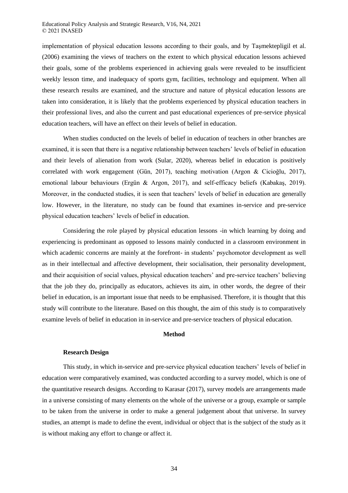implementation of physical education lessons according to their goals, and by Taşmektepligil et al. (2006) examining the views of teachers on the extent to which physical education lessons achieved their goals, some of the problems experienced in achieving goals were revealed to be insufficient weekly lesson time, and inadequacy of sports gym, facilities, technology and equipment. When all these research results are examined, and the structure and nature of physical education lessons are taken into consideration, it is likely that the problems experienced by physical education teachers in their professional lives, and also the current and past educational experiences of pre-service physical education teachers, will have an effect on their levels of belief in education.

When studies conducted on the levels of belief in education of teachers in other branches are examined, it is seen that there is a negative relationship between teachers' levels of belief in education and their levels of alienation from work (Sular, 2020), whereas belief in education is positively correlated with work engagement (Gün, 2017), teaching motivation (Argon & Cicioğlu, 2017), emotional labour behaviours (Ergün & Argon, 2017), and self-efficacy beliefs (Kabakaş, 2019). Moreover, in the conducted studies, it is seen that teachers' levels of belief in education are generally low. However, in the literature, no study can be found that examines in-service and pre-service physical education teachers' levels of belief in education.

Considering the role played by physical education lessons -in which learning by doing and experiencing is predominant as opposed to lessons mainly conducted in a classroom environment in which academic concerns are mainly at the forefront- in students' psychomotor development as well as in their intellectual and affective development, their socialisation, their personality development, and their acquisition of social values, physical education teachers' and pre-service teachers' believing that the job they do, principally as educators, achieves its aim, in other words, the degree of their belief in education, is an important issue that needs to be emphasised. Therefore, it is thought that this study will contribute to the literature. Based on this thought, the aim of this study is to comparatively examine levels of belief in education in in-service and pre-service teachers of physical education.

### **Method**

# **Research Design**

This study, in which in-service and pre-service physical education teachers' levels of belief in education were comparatively examined, was conducted according to a survey model, which is one of the quantitative research designs. According to Karasar (2017), survey models are arrangements made in a universe consisting of many elements on the whole of the universe or a group, example or sample to be taken from the universe in order to make a general judgement about that universe. In survey studies, an attempt is made to define the event, individual or object that is the subject of the study as it is without making any effort to change or affect it.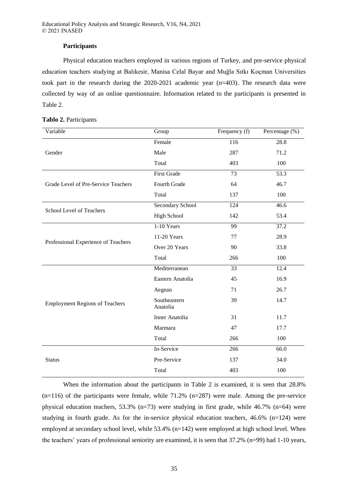Educational Policy Analysis and Strategic Research, V16, N4, 2021 © 2021 INASED

### **Participants**

Physical education teachers employed in various regions of Turkey, and pre-service physical education teachers studying at Balıkesir, Manisa Celal Bayar and Muğla Sıtkı Koçman Universities took part in the research during the 2020-2021 academic year (n=403). The research data were collected by way of an online questionnaire. Information related to the participants is presented in Table 2.

| Variable                              | Group                    | Frequency (f) | Percentage (%) |
|---------------------------------------|--------------------------|---------------|----------------|
|                                       | Female                   | 116           | 28.8           |
| Gender                                | Male                     | 287           | 71.2           |
|                                       | Total                    | 403           | 100            |
|                                       | <b>First Grade</b>       | 73            | 53.3           |
| Grade Level of Pre-Service Teachers   | Fourth Grade             | 64            | 46.7           |
|                                       | Total                    | 137           | 100            |
| School Level of Teachers              | Secondary School         | 124           | 46.6           |
|                                       | <b>High School</b>       | 142           | 53.4           |
|                                       | 1-10 Years               | 99            | 37.2           |
|                                       | 11-20 Years              | 77            | 28.9           |
| Professional Experience of Teachers   | Over 20 Years            | 90            | 33.8           |
|                                       | Total                    | 266           | 100            |
|                                       | Mediterranean            | 33            | 12.4           |
|                                       | Eastern Anatolia         | 45            | 16.9           |
|                                       | Aegean                   | 71            | 26.7           |
| <b>Employment Regions of Teachers</b> | Southeastern<br>Anatolia | 39            | 14.7           |
|                                       | <b>Inner Anatolia</b>    | 31            | 11.7           |
|                                       | Marmara                  | 47            | 17.7           |
|                                       | Total                    | 266           | 100            |
|                                       | In-Service               | 266           | 66.0           |
| <b>Status</b>                         | Pre-Service              | 137           | 34.0           |
|                                       | Total                    | 403           | 100            |

When the information about the participants in Table 2 is examined, it is seen that 28.8%  $(n=116)$  of the participants were female, while 71.2%  $(n=287)$  were male. Among the pre-service physical education teachers, 53.3% (n=73) were studying in first grade, while 46.7% (n=64) were studying in fourth grade. As for the in-service physical education teachers, 46.6% (n=124) were employed at secondary school level, while 53.4% (n=142) were employed at high school level. When the teachers' years of professional seniority are examined, it is seen that 37.2% (n=99) had 1-10 years,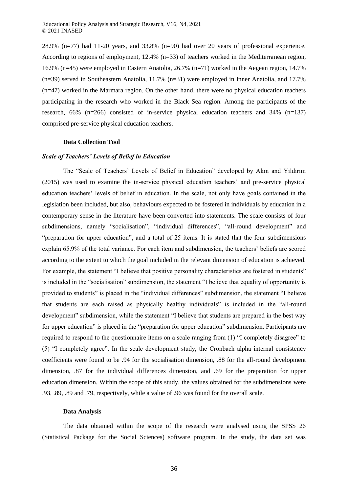28.9% (n=77) had 11-20 years, and 33.8% (n=90) had over 20 years of professional experience. According to regions of employment, 12.4% (n=33) of teachers worked in the Mediterranean region, 16.9% (n=45) were employed in Eastern Anatolia, 26.7% (n=71) worked in the Aegean region, 14.7% (n=39) served in Southeastern Anatolia, 11.7% (n=31) were employed in Inner Anatolia, and 17.7% (n=47) worked in the Marmara region. On the other hand, there were no physical education teachers participating in the research who worked in the Black Sea region. Among the participants of the research, 66% (n=266) consisted of in-service physical education teachers and 34% (n=137) comprised pre-service physical education teachers.

### **Data Collection Tool**

### *Scale of Teachers' Levels of Belief in Education*

The "Scale of Teachers' Levels of Belief in Education" developed by Akın and Yıldırım (2015) was used to examine the in-service physical education teachers' and pre-service physical education teachers' levels of belief in education. In the scale, not only have goals contained in the legislation been included, but also, behaviours expected to be fostered in individuals by education in a contemporary sense in the literature have been converted into statements. The scale consists of four subdimensions, namely "socialisation", "individual differences", "all-round development" and "preparation for upper education", and a total of 25 items. It is stated that the four subdimensions explain 65.9% of the total variance. For each item and subdimension, the teachers' beliefs are scored according to the extent to which the goal included in the relevant dimension of education is achieved. For example, the statement "I believe that positive personality characteristics are fostered in students" is included in the "socialisation" subdimension, the statement "I believe that equality of opportunity is provided to students" is placed in the "individual differences" subdimension, the statement "I believe that students are each raised as physically healthy individuals" is included in the "all-round development" subdimension, while the statement "I believe that students are prepared in the best way for upper education" is placed in the "preparation for upper education" subdimension. Participants are required to respond to the questionnaire items on a scale ranging from (1) "I completely disagree" to (5) "I completely agree". In the scale development study, the Cronbach alpha internal consistency coefficients were found to be .94 for the socialisation dimension, .88 for the all-round development dimension, .87 for the individual differences dimension, and .69 for the preparation for upper education dimension. Within the scope of this study, the values obtained for the subdimensions were .93, .89, .89 and .79, respectively, while a value of .96 was found for the overall scale.

#### **Data Analysis**

The data obtained within the scope of the research were analysed using the SPSS 26 (Statistical Package for the Social Sciences) software program. In the study, the data set was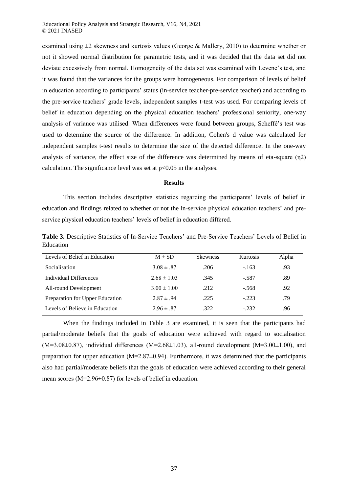examined using  $\pm 2$  skewness and kurtosis values (George & Mallery, 2010) to determine whether or not it showed normal distribution for parametric tests, and it was decided that the data set did not deviate excessively from normal. Homogeneity of the data set was examined with Levene's test, and it was found that the variances for the groups were homogeneous. For comparison of levels of belief in education according to participants' status (in-service teacher-pre-service teacher) and according to the pre-service teachers' grade levels, independent samples t-test was used. For comparing levels of belief in education depending on the physical education teachers' professional seniority, one-way analysis of variance was utilised. When differences were found between groups, Scheffé's test was used to determine the source of the difference. In addition, Cohen's d value was calculated for independent samples t-test results to determine the size of the detected difference. In the one-way analysis of variance, the effect size of the difference was determined by means of eta-square (η2) calculation. The significance level was set at  $p<0.05$  in the analyses.

#### **Results**

This section includes descriptive statistics regarding the participants' levels of belief in education and findings related to whether or not the in-service physical education teachers' and preservice physical education teachers' levels of belief in education differed.

**Table 3.** Descriptive Statistics of In-Service Teachers' and Pre-Service Teachers' Levels of Belief in Education

| Levels of Belief in Education   | $M \pm SD$      | <b>Skewness</b> | <b>Kurtosis</b> | Alpha |
|---------------------------------|-----------------|-----------------|-----------------|-------|
| Socialisation                   | $3.08 \pm .87$  | .206            | $-163$          | .93   |
| Individual Differences          | $2.68 \pm 1.03$ | .345            | $-.587$         | .89   |
| All-round Development           | $3.00 \pm 1.00$ | .212            | $-.568$         | .92   |
| Preparation for Upper Education | $2.87 \pm .94$  | .225            | $-.223$         | .79   |
| Levels of Believe in Education  | $2.96 \pm .87$  | .322            | $-.232$         | .96   |

When the findings included in Table 3 are examined, it is seen that the participants had partial/moderate beliefs that the goals of education were achieved with regard to socialisation  $(M=3.08\pm0.87)$ , individual differences  $(M=2.68\pm1.03)$ , all-round development  $(M=3.00\pm1.00)$ , and preparation for upper education (M=2.87±0.94). Furthermore, it was determined that the participants also had partial/moderate beliefs that the goals of education were achieved according to their general mean scores (M=2.96±0.87) for levels of belief in education.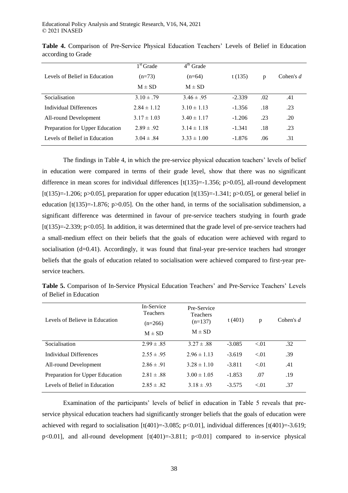|                                 | $1st$ Grade     | $4th$ Grade     |          |     |             |
|---------------------------------|-----------------|-----------------|----------|-----|-------------|
| Levels of Belief in Education   | $(n=73)$        | $(n=64)$        | t(135)   | p   | Cohen's $d$ |
|                                 | $M \pm SD$      | $M \pm SD$      |          |     |             |
| Socialisation                   | $3.10 \pm .79$  | $3.46 \pm .95$  | $-2.339$ | .02 | .41         |
| Individual Differences          | $2.84 \pm 1.12$ | $3.10 \pm 1.13$ | $-1.356$ | .18 | .23         |
| All-round Development           | $3.17 \pm 1.03$ | $3.40 \pm 1.17$ | $-1.206$ | .23 | .20         |
| Preparation for Upper Education | $2.89 \pm .92$  | $3.14 \pm 1.18$ | $-1.341$ | .18 | .23         |
| Levels of Belief in Education   | $3.04 \pm .84$  | $3.33 \pm 1.00$ | $-1.876$ | .06 | .31         |

**Table 4.** Comparison of Pre-Service Physical Education Teachers' Levels of Belief in Education according to Grade

The findings in Table 4, in which the pre-service physical education teachers' levels of belief in education were compared in terms of their grade level, show that there was no significant difference in mean scores for individual differences [t(135)=-1.356; p>0.05], all-round development [t(135)=-1.206; p>0.05], preparation for upper education  $[t(135)=-1.341; p>0.05]$ , or general belief in education  $[t(135)=1.876; p>0.05]$ . On the other hand, in terms of the socialisation subdimension, a significant difference was determined in favour of pre-service teachers studying in fourth grade [t(135)=-2.339; p<0.05]. In addition, it was determined that the grade level of pre-service teachers had a small-medium effect on their beliefs that the goals of education were achieved with regard to socialisation (d=0.41). Accordingly, it was found that final-year pre-service teachers had stronger beliefs that the goals of education related to socialisation were achieved compared to first-year preservice teachers.

**Table 5.** Comparison of In-Service Physical Education Teachers' and Pre-Service Teachers' Levels of Belief in Education

| Levels of Believe in Education  | In-Service<br><b>Teachers</b><br>$(n=266)$<br>$M \pm SD$ | Pre-Service<br><b>Teachers</b><br>$(n=137)$<br>$M \pm SD$ | t(401)   | p      | Cohen's $d$ |
|---------------------------------|----------------------------------------------------------|-----------------------------------------------------------|----------|--------|-------------|
| Socialisation                   | $2.99 \pm .85$                                           | $3.27 \pm .88$                                            | $-3.085$ | < 01   | .32         |
| Individual Differences          | $2.55 \pm .95$                                           | $2.96 \pm 1.13$                                           | $-3.619$ | $-.01$ | .39         |
| All-round Development           | $2.86 \pm .91$                                           | $3.28 \pm 1.10$                                           | $-3.811$ | $-.01$ | .41         |
| Preparation for Upper Education | $2.81 \pm .88$                                           | $3.00 \pm 1.05$                                           | $-1.853$ | .07    | .19         |
| Levels of Belief in Education   | $2.85 \pm .82$                                           | $3.18 \pm .93$                                            | $-3.575$ | $-.01$ | .37         |

Examination of the participants' levels of belief in education in Table 5 reveals that preservice physical education teachers had significantly stronger beliefs that the goals of education were achieved with regard to socialisation  $[t(401)=3.085; p<0.01]$ , individual differences  $[t(401)=3.619;$ p<0.01], and all-round development  $[t(401)=3.811; p<0.01]$  compared to in-service physical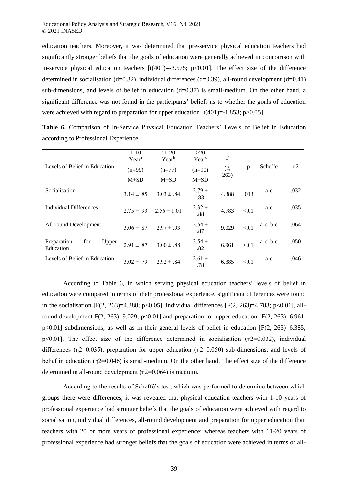education teachers. Moreover, it was determined that pre-service physical education teachers had significantly stronger beliefs that the goals of education were generally achieved in comparison with in-service physical education teachers  $[t(401)=3.575; p<0.01]$ . The effect size of the difference determined in socialisation (d=0.32), individual differences (d=0.39), all-round development (d=0.41) sub-dimensions, and levels of belief in education  $(d=0.37)$  is small-medium. On the other hand, a significant difference was not found in the participants' beliefs as to whether the goals of education were achieved with regard to preparation for upper education  $\lbrack t(401)=1.853;$  p>0.05].

|                                          | $1 - 10$<br>Year <sup>a</sup> | 11-20<br>$Year^b$ | >20<br>$Year^c$   | F           |        |               |          |
|------------------------------------------|-------------------------------|-------------------|-------------------|-------------|--------|---------------|----------|
| Levels of Belief in Education            | $(n=99)$                      | $(n=77)$          | $(n=90)$          | (2,<br>263) | p      | Scheffe       | $\eta$ 2 |
|                                          | $M\pm SD$                     | $M\pm SD$         | $M\pm SD$         |             |        |               |          |
| Socialisation                            | $3.14 \pm .85$                | $3.03 \pm .84$    | $2.79 \pm$<br>.83 | 4.388       | .013   | a-c           | .032     |
| Individual Differences                   | $2.75 \pm .93$                | $2.56 \pm 1.01$   | $2.32 \pm$<br>.88 | 4.783       | < 0.01 | a-c           | .035     |
| All-round Development                    | $3.06 \pm .87$                | $2.97 \pm .93$    | $2.54 \pm$<br>.87 | 9.029       | < 01   | $a-c$ , $b-c$ | .064     |
| for<br>Preparation<br>Upper<br>Education | $2.91 \pm .87$                | $3.00 \pm .88$    | $2.54 \pm$<br>.82 | 6.961       | < 01   | $a-c$ , $b-c$ | .050     |
| Levels of Belief in Education            | $3.02 \pm .79$                | $2.92 \pm .84$    | $2.61 \pm$<br>.78 | 6.385       | < 0.01 | a-c           | .046     |

**Table 6.** Comparison of In-Service Physical Education Teachers' Levels of Belief in Education according to Professional Experience

According to Table 6, in which serving physical education teachers' levels of belief in education were compared in terms of their professional experience, significant differences were found in the socialisation  $[F(2, 263)=4.388; p<0.05]$ , individual differences  $[F(2, 263)=4.783; p<0.01]$ , allround development F(2, 263)=9.029; p<0.01] and preparation for upper education [F(2, 263)=6.961;  $p<0.01$ ] subdimensions, as well as in their general levels of belief in education [F(2, 263)=6.385; p<0.01]. The effect size of the difference determined in socialisation (η2=0.032), individual differences ( $n2=0.035$ ), preparation for upper education ( $n2=0.050$ ) sub-dimensions, and levels of belief in education (η2=0.046) is small-medium. On the other hand, The effect size of the difference determined in all-round development (η2=0.064) is medium.

According to the results of Scheffé's test, which was performed to determine between which groups there were differences, it was revealed that physical education teachers with 1-10 years of professional experience had stronger beliefs that the goals of education were achieved with regard to socialisation, individual differences, all-round development and preparation for upper education than teachers with 20 or more years of professional experience; whereas teachers with 11-20 years of professional experience had stronger beliefs that the goals of education were achieved in terms of all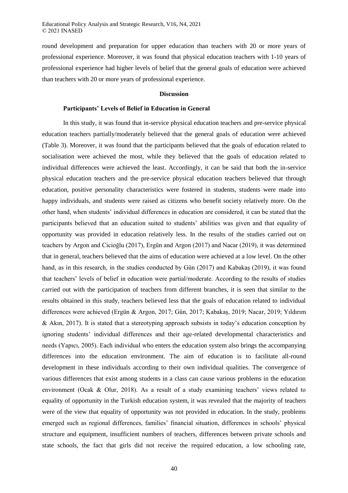round development and preparation for upper education than teachers with 20 or more years of professional experience. Moreover, it was found that physical education teachers with 1-10 years of professional experience had higher levels of belief that the general goals of education were achieved than teachers with 20 or more years of professional experience.

# **Discussion**

#### **Participants' Levels of Belief in Education in General**

In this study, it was found that in-service physical education teachers and pre-service physical education teachers partially/moderately believed that the general goals of education were achieved (Table 3). Moreover, it was found that the participants believed that the goals of education related to socialisation were achieved the most, while they believed that the goals of education related to individual differences were achieved the least. Accordingly, it can be said that both the in-service physical education teachers and the pre-service physical education teachers believed that through education, positive personality characteristics were fostered in students, students were made into happy individuals, and students were raised as citizens who benefit society relatively more. On the other hand, when students' individual differences in education are considered, it can be stated that the participants believed that an education suited to students' abilities was given and that equality of opportunity was provided in education relatively less. In the results of the studies carried out on teachers by Argon and Cicioğlu (2017), Ergün and Argon (2017) and Nacar (2019), it was determined that in general, teachers believed that the aims of education were achieved at a low level. On the other hand, as in this research, in the studies conducted by Gün (2017) and Kabakaş (2019), it was found that teachers' levels of belief in education were partial/moderate. According to the results of studies carried out with the participation of teachers from different branches, it is seen that similar to the results obtained in this study, teachers believed less that the goals of education related to individual differences were achieved (Ergün & Argon, 2017; Gün, 2017; Kabakaş, 2019; Nacar, 2019; Yıldırım & Akın, 2017). It is stated that a stereotyping approach subsists in today's education conception by ignoring students' individual differences and their age-related developmental characteristics and needs (Yapıcı, 2005). Each individual who enters the education system also brings the accompanying differences into the education environment. The aim of education is to facilitate all-round development in these individuals according to their own individual qualities. The convergence of various differences that exist among students in a class can cause various problems in the education environment (Ocak & Olur, 2018). As a result of a study examining teachers' views related to equality of opportunity in the Turkish education system, it was revealed that the majority of teachers were of the view that equality of opportunity was not provided in education. In the study, problems emerged such as regional differences, families' financial situation, differences in schools' physical structure and equipment, insufficient numbers of teachers, differences between private schools and state schools, the fact that girls did not receive the required education, a low schooling rate,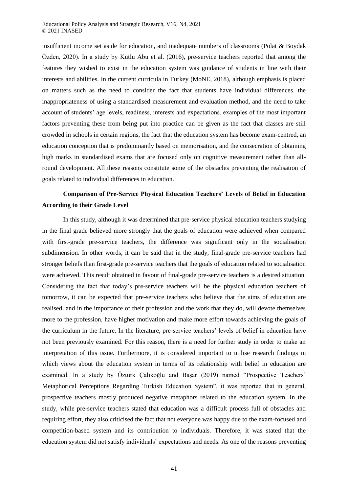insufficient income set aside for education, and inadequate numbers of classrooms (Polat & Boydak Özden, 2020). In a study by Kutlu Abu et al. (2016), pre-service teachers reported that among the features they wished to exist in the education system was guidance of students in line with their interests and abilities. In the current curricula in Turkey (MoNE, 2018), although emphasis is placed on matters such as the need to consider the fact that students have individual differences, the inappropriateness of using a standardised measurement and evaluation method, and the need to take account of students' age levels, readiness, interests and expectations, examples of the most important factors preventing these from being put into practice can be given as the fact that classes are still crowded in schools in certain regions, the fact that the education system has become exam-centred, an education conception that is predominantly based on memorisation, and the consecration of obtaining high marks in standardised exams that are focused only on cognitive measurement rather than allround development. All these reasons constitute some of the obstacles preventing the realisation of goals related to individual differences in education.

# **Comparison of Pre-Service Physical Education Teachers' Levels of Belief in Education According to their Grade Level**

In this study, although it was determined that pre-service physical education teachers studying in the final grade believed more strongly that the goals of education were achieved when compared with first-grade pre-service teachers, the difference was significant only in the socialisation subdimension. In other words, it can be said that in the study, final-grade pre-service teachers had stronger beliefs than first-grade pre-service teachers that the goals of education related to socialisation were achieved. This result obtained in favour of final-grade pre-service teachers is a desired situation. Considering the fact that today's pre-service teachers will be the physical education teachers of tomorrow, it can be expected that pre-service teachers who believe that the aims of education are realised, and in the importance of their profession and the work that they do, will devote themselves more to the profession, have higher motivation and make more effort towards achieving the goals of the curriculum in the future. In the literature, pre-service teachers' levels of belief in education have not been previously examined. For this reason, there is a need for further study in order to make an interpretation of this issue. Furthermore, it is considered important to utilise research findings in which views about the education system in terms of its relationship with belief in education are examined. In a study by Öztürk Çalıkoğlu and Başar (2019) named "Prospective Teachers' Metaphorical Perceptions Regarding Turkish Education System", it was reported that in general, prospective teachers mostly produced negative metaphors related to the education system. In the study, while pre-service teachers stated that education was a difficult process full of obstacles and requiring effort, they also criticised the fact that not everyone was happy due to the exam-focused and competition-based system and its contribution to individuals. Therefore, it was stated that the education system did not satisfy individuals' expectations and needs. As one of the reasons preventing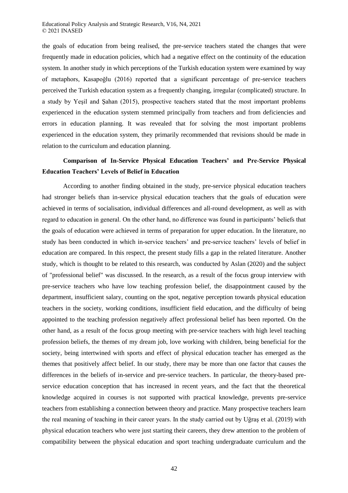the goals of education from being realised, the pre-service teachers stated the changes that were frequently made in education policies, which had a negative effect on the continuity of the education system. In another study in which perceptions of the Turkish education system were examined by way of metaphors, Kasapoğlu (2016) reported that a significant percentage of pre-service teachers perceived the Turkish education system as a frequently changing, irregular (complicated) structure. In a study by Yeşil and Şahan (2015), prospective teachers stated that the most important problems experienced in the education system stemmed principally from teachers and from deficiencies and errors in education planning. It was revealed that for solving the most important problems experienced in the education system, they primarily recommended that revisions should be made in relation to the curriculum and education planning.

# **Comparison of In-Service Physical Education Teachers' and Pre-Service Physical Education Teachers' Levels of Belief in Education**

According to another finding obtained in the study, pre-service physical education teachers had stronger beliefs than in-service physical education teachers that the goals of education were achieved in terms of socialisation, individual differences and all-round development, as well as with regard to education in general. On the other hand, no difference was found in participants' beliefs that the goals of education were achieved in terms of preparation for upper education. In the literature, no study has been conducted in which in-service teachers' and pre-service teachers' levels of belief in education are compared. In this respect, the present study fills a gap in the related literature. Another study, which is thought to be related to this research, was conducted by Aslan (2020) and the subject of "professional belief" was discussed. In the research, as a result of the focus group interview with pre-service teachers who have low teaching profession belief, the disappointment caused by the department, insufficient salary, counting on the spot, negative perception towards physical education teachers in the society, working conditions, insufficient field education, and the difficulty of being appointed to the teaching profession negatively affect professional belief has been reported. On the other hand, as a result of the focus group meeting with pre-service teachers with high level teaching profession beliefs, the themes of my dream job, love working with children, being beneficial for the society, being intertwined with sports and effect of physical education teacher has emerged as the themes that positively affect belief. In our study, there may be more than one factor that causes the differences in the beliefs of in-service and pre-service teachers. In particular, the theory-based preservice education conception that has increased in recent years, and the fact that the theoretical knowledge acquired in courses is not supported with practical knowledge, prevents pre-service teachers from establishing a connection between theory and practice. Many prospective teachers learn the real meaning of teaching in their career years. In the study carried out by Uğraş et al. (2019) with physical education teachers who were just starting their careers, they drew attention to the problem of compatibility between the physical education and sport teaching undergraduate curriculum and the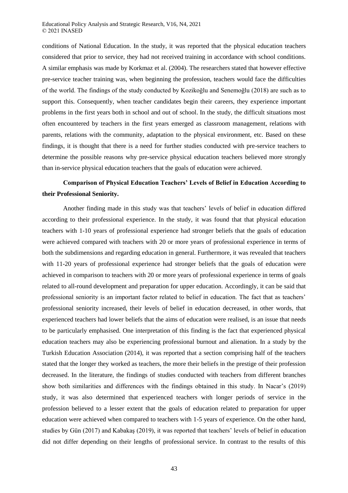conditions of National Education. In the study, it was reported that the physical education teachers considered that prior to service, they had not received training in accordance with school conditions. A similar emphasis was made by Korkmaz et al. (2004). The researchers stated that however effective pre-service teacher training was, when beginning the profession, teachers would face the difficulties of the world. The findings of the study conducted by Kozikoğlu and Senemoğlu (2018) are such as to support this. Consequently, when teacher candidates begin their careers, they experience important problems in the first years both in school and out of school. In the study, the difficult situations most often encountered by teachers in the first years emerged as classroom management, relations with parents, relations with the community, adaptation to the physical environment, etc. Based on these findings, it is thought that there is a need for further studies conducted with pre-service teachers to determine the possible reasons why pre-service physical education teachers believed more strongly than in-service physical education teachers that the goals of education were achieved.

# **Comparison of Physical Education Teachers' Levels of Belief in Education According to their Professional Seniority.**

Another finding made in this study was that teachers' levels of belief in education differed according to their professional experience. In the study, it was found that that physical education teachers with 1-10 years of professional experience had stronger beliefs that the goals of education were achieved compared with teachers with 20 or more years of professional experience in terms of both the subdimensions and regarding education in general. Furthermore, it was revealed that teachers with 11-20 years of professional experience had stronger beliefs that the goals of education were achieved in comparison to teachers with 20 or more years of professional experience in terms of goals related to all-round development and preparation for upper education. Accordingly, it can be said that professional seniority is an important factor related to belief in education. The fact that as teachers' professional seniority increased, their levels of belief in education decreased, in other words, that experienced teachers had lower beliefs that the aims of education were realised, is an issue that needs to be particularly emphasised. One interpretation of this finding is the fact that experienced physical education teachers may also be experiencing professional burnout and alienation. In a study by the Turkish Education Association (2014), it was reported that a section comprising half of the teachers stated that the longer they worked as teachers, the more their beliefs in the prestige of their profession decreased. In the literature, the findings of studies conducted with teachers from different branches show both similarities and differences with the findings obtained in this study. In Nacar's (2019) study, it was also determined that experienced teachers with longer periods of service in the profession believed to a lesser extent that the goals of education related to preparation for upper education were achieved when compared to teachers with 1-5 years of experience. On the other hand, studies by Gün (2017) and Kabakaş (2019), it was reported that teachers' levels of belief in education did not differ depending on their lengths of professional service. In contrast to the results of this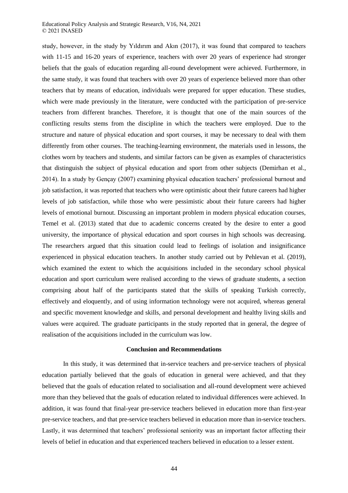study, however, in the study by Yıldırım and Akın (2017), it was found that compared to teachers with 11-15 and 16-20 years of experience, teachers with over 20 years of experience had stronger beliefs that the goals of education regarding all-round development were achieved. Furthermore, in the same study, it was found that teachers with over 20 years of experience believed more than other teachers that by means of education, individuals were prepared for upper education. These studies, which were made previously in the literature, were conducted with the participation of pre-service teachers from different branches. Therefore, it is thought that one of the main sources of the conflicting results stems from the discipline in which the teachers were employed. Due to the structure and nature of physical education and sport courses, it may be necessary to deal with them differently from other courses. The teaching-learning environment, the materials used in lessons, the clothes worn by teachers and students, and similar factors can be given as examples of characteristics that distinguish the subject of physical education and sport from other subjects (Demirhan et al., 2014). In a study by Gençay (2007) examining physical education teachers' professional burnout and job satisfaction, it was reported that teachers who were optimistic about their future careers had higher levels of job satisfaction, while those who were pessimistic about their future careers had higher levels of emotional burnout. Discussing an important problem in modern physical education courses, Temel et al. (2013) stated that due to academic concerns created by the desire to enter a good university, the importance of physical education and sport courses in high schools was decreasing. The researchers argued that this situation could lead to feelings of isolation and insignificance experienced in physical education teachers. In another study carried out by Pehlevan et al. (2019), which examined the extent to which the acquisitions included in the secondary school physical education and sport curriculum were realised according to the views of graduate students, a section comprising about half of the participants stated that the skills of speaking Turkish correctly, effectively and eloquently, and of using information technology were not acquired, whereas general and specific movement knowledge and skills, and personal development and healthy living skills and values were acquired. The graduate participants in the study reported that in general, the degree of realisation of the acquisitions included in the curriculum was low.

# **Conclusion and Recommendations**

In this study, it was determined that in-service teachers and pre-service teachers of physical education partially believed that the goals of education in general were achieved, and that they believed that the goals of education related to socialisation and all-round development were achieved more than they believed that the goals of education related to individual differences were achieved. In addition, it was found that final-year pre-service teachers believed in education more than first-year pre-service teachers, and that pre-service teachers believed in education more than in-service teachers. Lastly, it was determined that teachers' professional seniority was an important factor affecting their levels of belief in education and that experienced teachers believed in education to a lesser extent.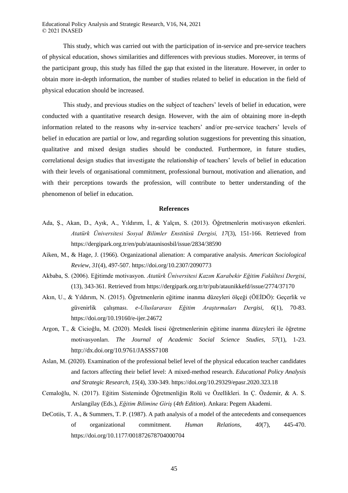This study, which was carried out with the participation of in-service and pre-service teachers of physical education, shows similarities and differences with previous studies. Moreover, in terms of the participant group, this study has filled the gap that existed in the literature. However, in order to obtain more in-depth information, the number of studies related to belief in education in the field of physical education should be increased.

This study, and previous studies on the subject of teachers' levels of belief in education, were conducted with a quantitative research design. However, with the aim of obtaining more in-depth information related to the reasons why in-service teachers' and/or pre-service teachers' levels of belief in education are partial or low, and regarding solution suggestions for preventing this situation, qualitative and mixed design studies should be conducted. Furthermore, in future studies, correlational design studies that investigate the relationship of teachers' levels of belief in education with their levels of organisational commitment, professional burnout, motivation and alienation, and with their perceptions towards the profession, will contribute to better understanding of the phenomenon of belief in education.

#### **References**

- Ada, Ş., Akan, D., Ayık, A., Yıldırım, İ., & Yalçın, S. (2013). Öğretmenlerin motivasyon etkenleri. *Atatürk Üniversitesi Sosyal Bilimler Enstitüsü Dergisi, 17*(3), 151-166. Retrieved from https://dergipark.org.tr/en/pub/ataunisosbil/issue/2834/38590
- Aiken, M., & Hage, J. (1966). Organizational alienation: A comparative analysis. *American Sociological Review, 31*(4), 497-507. https://doi.org/10.2307/2090773
- Akbaba, S. (2006). Eğitimde motivasyon. *Atatürk Üniversitesi Kazım Karabekir Eğitim Fakültesi Dergisi,* (13), 343-361. Retrieved from https://dergipark.org.tr/tr/pub/ataunikkefd/issue/2774/37170
- Akın, U., & Yıldırım, N. (2015). Öğretmenlerin eğitime inanma düzeyleri ölçeği (ÖEİDÖ): Geçerlik ve güvenirlik çalışması. *e-Uluslararası Eğitim Araştırmaları Dergisi, 6*(1), 70-83. https://doi.org/10.19160/e-ijer.24672
- Argon, T., & Cicioğlu, M. (2020). Meslek lisesi öğretmenlerinin eğitime inanma düzeyleri ile öğretme motivasyonları. *The Journal of Academic Social Science Studies, 57*(1), 1-23. http://dx.doi.org/10.9761/JASSS7108
- Aslan, M. (2020). Examination of the professional belief level of the physical education teacher candidates and factors affecting their belief level: A mixed-method research. *Educational Policy Analysis and Strategic Research*, *15*(4), 330-349. https://doi.org/10.29329/epasr.2020.323.18
- Cemaloğlu, N. (2017). Eğitim Sisteminde Öğretmenliğin Rolü ve Özellikleri. In Ç. Özdemir, & A. S. Arslangilay (Eds.), *Eğitim Bilimine Giriş* (*4th Edition*). Ankara: Pegem Akademi.
- DeCotiis, T. A., & Summers, T. P. (1987). A path analysis of a model of the antecedents and consequences of organizational commitment. *Human Relations, 40*(7), 445-470. https://doi.org/10.1177/001872678704000704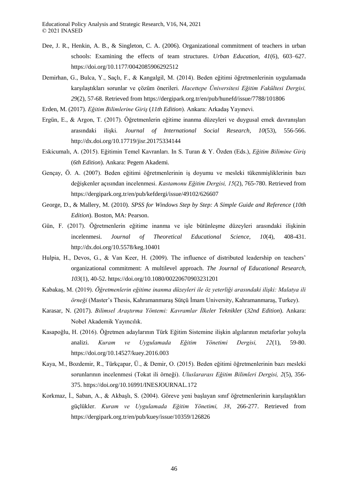- Dee, J. R., Henkin, A. B., & Singleton, C. A. (2006). Organizational commitment of teachers in urban schools: Examining the effects of team structures. *Urban Education, 41*(6), 603–627. https://doi.org/10.1177/0042085906292512
- Demirhan, G., Bulca, Y., Saçlı, F., & Kangalgil, M. (2014). Beden eğitimi öğretmenlerinin uygulamada karşılaştıkları sorunlar ve çözüm önerileri. *Hacettepe Üniversitesi Eğitim Fakültesi Dergisi, 29*(2), 57-68. Retrieved from https://dergipark.org.tr/en/pub/hunefd/issue/7788/101806
- Erden, M. (2017). *Eğitim Bilimlerine Giriş* (*11th Edition*). Ankara: Arkadaş Yayınevi.
- Ergün, E., & Argon, T. (2017). Öğretmenlerin eğitime inanma düzeyleri ve duygusal emek davranışları arasındaki ilişki. *Journal of International Social Research, 10*(53), 556-566. http://dx.doi.org/10.17719/jisr.20175334144
- Eskicumalı, A. (2015). Eğitimin Temel Kavranları. In S. Turan & Y. Özden (Eds.), *Eğitim Bilimine Giriş* (*6th Edition*). Ankara: Pegem Akademi.
- Gençay, Ö. A. (2007). Beden eğitimi öğretmenlerinin iş doyumu ve mesleki tükenmişliklerinin bazı değişkenler açısından incelenmesi. *Kastamonu Eğitim Dergisi, 15*(2), 765-780. Retrieved from https://dergipark.org.tr/en/pub/kefdergi/issue/49102/626607
- George, D., & Mallery, M. (2010). *SPSS for Windows Step by Step: A Simple Guide and Reference* (*10th Edition*). Boston, MA: Pearson.
- Gün, F. (2017). Öğretmenlerin eğitime inanma ve işle bütünleşme düzeyleri arasındaki ilişkinin incelenmesi. *Journal of Theoretical Educational Science, 10*(4), 408-431. http://dx.doi.org/10.5578/keg.10401
- Hulpia, H., Devos, G., & Van Keer, H. (2009). The influence of distributed leadership on teachers' organizational commitment: A multilevel approach. *The Journal of Educational Research, 103*(1), 40-52. https://doi.org/10.1080/00220670903231201
- Kabakaş, M. (2019). *Öğretmenlerin eğitime inanma düzeyleri ile öz yeterliği arasındaki ilişki: Malatya ili örneği* (Master's Thesis, Kahramanmaraş Sütçü İmam University, Kahramanmaraş, Turkey).
- Karasar, N. (2017). *Bilimsel Araştırma Yöntemi: Kavramlar İlkeler Teknikler* (*32nd Edition*). Ankara: Nobel Akademik Yayıncılık.
- Kasapoğlu, H. (2016). Öğretmen adaylarının Türk Eğitim Sistemine ilişkin algılarının metaforlar yoluyla analizi. *Kuram ve Uygulamada Eğitim Yönetimi Dergisi, 22*(1), 59-80. https://doi.org/10.14527/kuey.2016.003
- Kaya, M., Bozdemir, R., Türkçapar, Ü., & Demir, O. (2015). Beden eğitimi öğretmenlerinin bazı mesleki sorunlarının incelenmesi (Tokat ili örneği). *Uluslararası Eğitim Bilimleri Dergisi, 2*(5), 356- 375. https://doi.org/10.16991/INESJOURNAL.172
- Korkmaz, İ., Saban, A., & Akbaşlı, S. (2004). Göreve yeni başlayan sınıf öğretmenlerinin karşılaştıkları güçlükler. *Kuram ve Uygulamada Eğitim Yönetimi, 38*, 266-277. Retrieved from https://dergipark.org.tr/en/pub/kuey/issue/10359/126826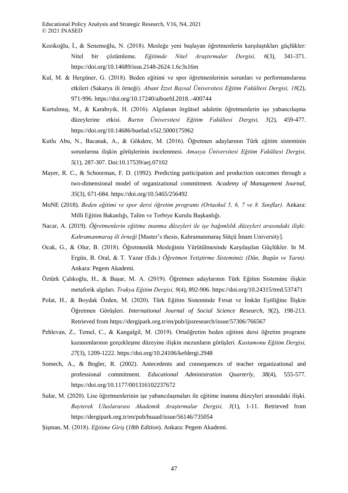- Kozikoğlu, İ., & Senemoğlu, N. (2018). Mesleğe yeni başlayan öğretmenlerin karşılaştıkları güçlükler: Nitel bir çözümleme. *Eğitimde Nitel Araştırmalar Dergisi, 6*(3), 341-371. https://doi.org/10.14689/issn.2148-2624.1.6c3s16m
- Kul, M. & Hergüner, G. (2018). Beden eğitimi ve spor öğretmenlerinin sorunları ve performanslarına etkileri (Sakarya ili örneği). *Abant İzzet Baysal Üniversitesi Eğitim Fakültesi Dergisi, 18*(2), 971-996. https://doi.org/10.17240/aibuefd.2018..-400744
- Kurtulmuş, M., & Karabıyık, H. (2016). Algılanan örgütsel adaletin öğretmenlerin işe yabancılaşma düzeylerine etkisi. *Bartın Üniversitesi Eğitim Fakültesi Dergisi, 5*(2), 459-477. https://doi.org/10.14686/buefad.v5i2.5000175962
- Kutlu Abu, N., Bacanak, A., & Gökdere, M. (2016). Öğretmen adaylarının Türk eğitim sisteminin sorunlarına ilişkin görüşlerinin incelenmesi. *Amasya Üniversitesi Eğitim Fakültesi Dergisi, 5*(1), 287-307. Doi:10.17539/aej.07102
- Mayer, R. C., & Schoorman, F. D. (1992). Predicting participation and production outcomes through a two-dimensional model of organizational commitment. *Academy of Management Journal, 35*(3), 671-684. https://doi.org/10.5465/256492
- MoNE (2018). *Beden eğitimi ve spor dersi öğretim programı (Ortaokul 5, 6, 7 ve 8. Sınıflar).* Ankara: Milli Eğitim Bakanlığı, Talim ve Terbiye Kurulu Başkanlığı.
- Nacar, A. (2019). *Öğretmenlerin eğitime inanma düzeyleri ile işe bağımlılık düzeyleri arasındaki ilişki: Kahramanmaraş ili örneği* [Master's thesis, Kahramanmaraş Sütçü İmam University].
- Ocak, G., & Olur, B. (2018). Öğretmenlik Mesleğinin Yürütülmesinde Karşılaşılan Güçlükler. In M. Ergün, B. Oral, & T. Yazar (Eds.) *Öğretmen Yetiştirme Sistemimiz (Dün, Bugün ve Yarın).*  Ankara: Pegem Akademi.
- Öztürk Çalıkoğlu, H., & Başar, M. A. (2019). Öğretmen adaylarının Türk Eğitim Sistemine ilişkin metaforik algıları. *Trakya Eğitim Dergisi, 9*(4), 892-906. https://doi.org/10.24315/tred.537471
- Polat, H., & Boydak Özden, M. (2020). Türk Eğitim Sisteminde Fırsat ve İmkân Eşitliğine İlişkin Öğretmen Görüşleri. *International Journal of Social Science Research, 9*(2), 198-213. Retrieved from https://dergipark.org.tr/en/pub/ijssresearch/issue/57306/766567
- Pehlevan, Z., Temel, C., & Kangalgil, M. (2019). Ortaöğretim beden eğitimi dersi öğretim programı kazanımlarının gerçekleşme düzeyine ilişkin mezunların görüşleri. *Kastamonu Eğitim Dergisi, 27*(3), 1209-1222. https://doi.org/10.24106/kefdergi.2948
- Somech, A., & Bogler, R. (2002). Antecedents and consequences of teacher organizational and professional commitment. *Educational Administration Quarterly, 38*(4), 555-577. https://doi.org/10.1177/001316102237672
- Sular, M. (2020). Lise öğretmenlerinin işe yabancılaşmaları ile eğitime inanma düzeyleri arasındaki ilişki. *Bayterek Uluslararası Akademik Araştırmalar Dergisi, 3*(1), 1-11. Retrieved from https://dergipark.org.tr/en/pub/buaad/issue/56146/735054
- Şişman, M. (2018). *Eğitime Giriş* (*18th Edition*). Ankara: Pegem Akademi.